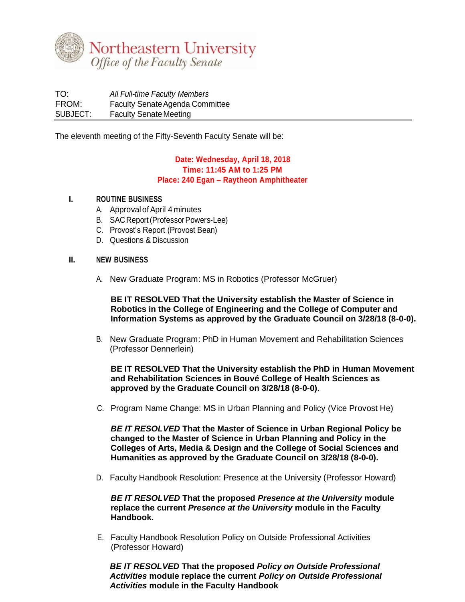

TO: *All Full-time Faculty Members* FROM: Faculty Senate Agenda Committee SUBJECT: Faculty Senate Meeting

The eleventh meeting of the Fifty-Seventh Faculty Senate will be:

## **Date: Wednesday, April 18, 2018 Time: 11:45 AM to 1:25 PM Place: 240 Egan – Raytheon Amphitheater**

## **I. ROUTINE BUSINESS**

- A. Approval of April 4 minutes
- B. SAC Report (Professor Powers-Lee)
- C. Provost's Report (Provost Bean)
- D. Questions & Discussion

## **II. NEW BUSINESS**

A. New Graduate Program: MS in Robotics (Professor McGruer)

**BE IT RESOLVED That the University establish the Master of Science in Robotics in the College of Engineering and the College of Computer and Information Systems as approved by the Graduate Council on 3/28/18 (8-0-0).** 

B. New Graduate Program: PhD in Human Movement and Rehabilitation Sciences (Professor Dennerlein)

**BE IT RESOLVED That the University establish the PhD in Human Movement and Rehabilitation Sciences in Bouvé College of Health Sciences as approved by the Graduate Council on 3/28/18 (8-0-0).** 

C. Program Name Change: MS in Urban Planning and Policy (Vice Provost He)

*BE IT RESOLVED* **That the Master of Science in Urban Regional Policy be changed to the Master of Science in Urban Planning and Policy in the Colleges of Arts, Media & Design and the College of Social Sciences and Humanities as approved by the Graduate Council on 3/28/18 (8-0-0).**

D. Faculty Handbook Resolution: Presence at the University (Professor Howard)

*BE IT RESOLVED* **That the proposed** *Presence at the University* **module replace the current** *Presence at the University* **module in the Faculty Handbook.** 

E. Faculty Handbook Resolution Policy on Outside Professional Activities (Professor Howard)

*BE IT RESOLVED* **That the proposed** *Policy on Outside Professional Activities* **module replace the current** *Policy on Outside Professional Activities* **module in the Faculty Handbook**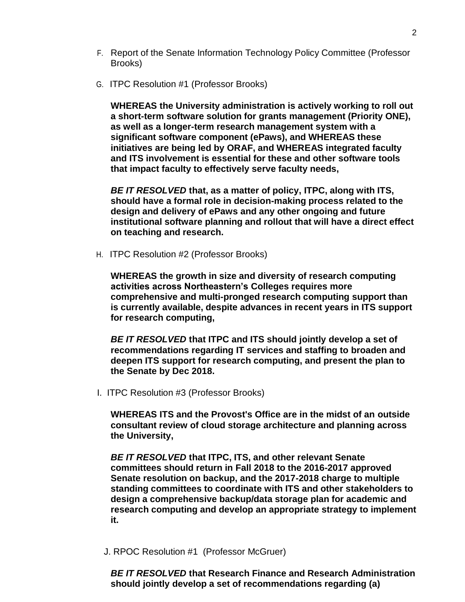- F. Report of the Senate Information Technology Policy Committee (Professor Brooks)
- G. ITPC Resolution #1 (Professor Brooks)

**WHEREAS the University administration is actively working to roll out a short-term software solution for grants management (Priority ONE), as well as a longer-term research management system with a significant software component (ePaws), and WHEREAS these initiatives are being led by ORAF, and WHEREAS integrated faculty and ITS involvement is essential for these and other software tools that impact faculty to effectively serve faculty needs,**

*BE IT RESOLVED* **that, as a matter of policy, ITPC, along with ITS, should have a formal role in decision-making process related to the design and delivery of ePaws and any other ongoing and future institutional software planning and rollout that will have a direct effect on teaching and research.**

H. ITPC Resolution #2 (Professor Brooks)

**WHEREAS the growth in size and diversity of research computing activities across Northeastern's Colleges requires more comprehensive and multi-pronged research computing support than is currently available, despite advances in recent years in ITS support for research computing,** 

*BE IT RESOLVED* **that ITPC and ITS should jointly develop a set of recommendations regarding IT services and staffing to broaden and deepen ITS support for research computing, and present the plan to the Senate by Dec 2018.**

I. ITPC Resolution #3 (Professor Brooks)

**WHEREAS ITS and the Provost's Office are in the midst of an outside consultant review of cloud storage architecture and planning across the University,** 

*BE IT RESOLVED* **that ITPC, ITS, and other relevant Senate committees should return in Fall 2018 to the 2016-2017 approved Senate resolution on backup, and the 2017-2018 charge to multiple standing committees to coordinate with ITS and other stakeholders to design a comprehensive backup/data storage plan for academic and research computing and develop an appropriate strategy to implement it.**

J. RPOC Resolution #1 (Professor McGruer)

*BE IT RESOLVED* **that Research Finance and Research Administration should jointly develop a set of recommendations regarding (a)**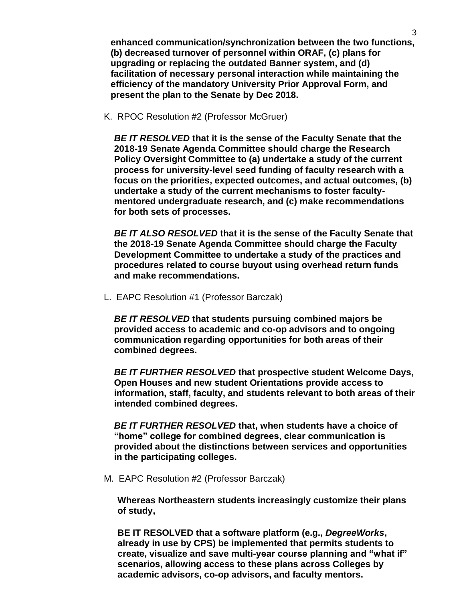**enhanced communication/synchronization between the two functions, (b) decreased turnover of personnel within ORAF, (c) plans for upgrading or replacing the outdated Banner system, and (d) facilitation of necessary personal interaction while maintaining the efficiency of the mandatory University Prior Approval Form, and present the plan to the Senate by Dec 2018.**

K. RPOC Resolution #2 (Professor McGruer)

*BE IT RESOLVED* **that it is the sense of the Faculty Senate that the 2018-19 Senate Agenda Committee should charge the Research Policy Oversight Committee to (a) undertake a study of the current process for university-level seed funding of faculty research with a focus on the priorities, expected outcomes, and actual outcomes, (b) undertake a study of the current mechanisms to foster facultymentored undergraduate research, and (c) make recommendations for both sets of processes.** 

*BE IT ALSO RESOLVED* **that it is the sense of the Faculty Senate that the 2018-19 Senate Agenda Committee should charge the Faculty Development Committee to undertake a study of the practices and procedures related to course buyout using overhead return funds and make recommendations.**

L. EAPC Resolution #1 (Professor Barczak)

*BE IT RESOLVED* **that students pursuing combined majors be provided access to academic and co-op advisors and to ongoing communication regarding opportunities for both areas of their combined degrees.** 

*BE IT FURTHER RESOLVED* **that prospective student Welcome Days, Open Houses and new student Orientations provide access to information, staff, faculty, and students relevant to both areas of their intended combined degrees.** 

*BE IT FURTHER RESOLVED* **that, when students have a choice of "home" college for combined degrees, clear communication is provided about the distinctions between services and opportunities in the participating colleges.**

M. EAPC Resolution #2 (Professor Barczak)

**Whereas Northeastern students increasingly customize their plans of study,**

**BE IT RESOLVED that a software platform (e.g.,** *DegreeWorks***, already in use by CPS) be implemented that permits students to create, visualize and save multi-year course planning and "what if" scenarios, allowing access to these plans across Colleges by academic advisors, co-op advisors, and faculty mentors.**